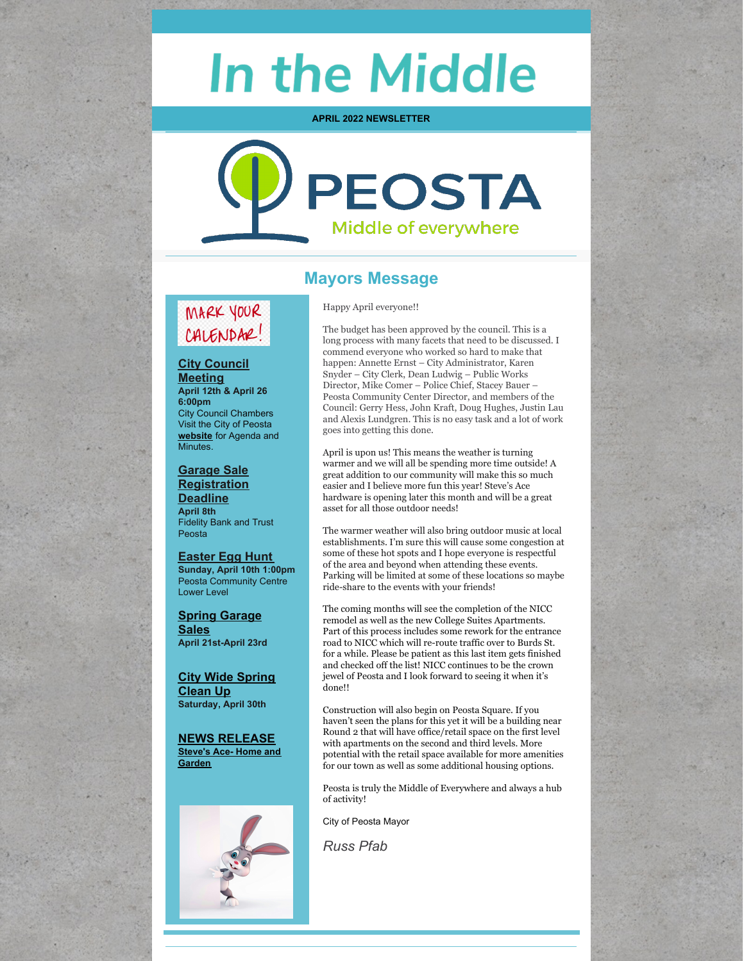# **In the Middle**

**APRIL 2022 NEWSLETTER**



# **Mayors Message**

Happy April everyone!!

# MARK YOUR CALENDAR!

**City Council Meeting April 12th & April 26 6:00pm** City Council Chambers Visit the City of Peosta **[website](https://www.cityofpeosta.org/)** for Agenda and Minutes.

**Garage Sale Registration Deadline April 8th** Fidelity Bank and Trust Peosta

**Easter Egg Hunt Sunday, April 10th 1:00pm** Peosta Community Centre Lower Level

**Spring Garage Sales April 21st-April 23rd**

**City Wide Spring Clean Up Saturday, April 30th**

**NEWS [RELEASE](https://www.cityofpeosta.org/uploads/documents/For_Immediate_Release-_Steves_Ace_Home_Garden_1.pdf?fbclid=IwAR0Y3hxLfnjP7lXgje6VJAQypPzougySwZqgAMsWVi5YrLyiwAxBmIMCmFA) Steve's Ace- Home and [Garden](https://www.cityofpeosta.org/uploads/documents/For_Immediate_Release-_Steves_Ace_Home_Garden_1.pdf?fbclid=IwAR0Y3hxLfnjP7lXgje6VJAQypPzougySwZqgAMsWVi5YrLyiwAxBmIMCmFA)**



The budget has been approved by the council. This is a long process with many facets that need to be discussed. I commend everyone who worked so hard to make that happen: Annette Ernst – City Administrator, Karen Snyder – City Clerk, Dean Ludwig – Public Works Director, Mike Comer – Police Chief, Stacey Bauer – Peosta Community Center Director, and members of the Council: Gerry Hess, John Kraft, Doug Hughes, Justin Lau and Alexis Lundgren. This is no easy task and a lot of work goes into getting this done.

April is upon us! This means the weather is turning warmer and we will all be spending more time outside! A great addition to our community will make this so much easier and I believe more fun this year! Steve's Ace hardware is opening later this month and will be a great asset for all those outdoor needs!

The warmer weather will also bring outdoor music at local establishments. I'm sure this will cause some congestion at some of these hot spots and I hope everyone is respectful of the area and beyond when attending these events. Parking will be limited at some of these locations so maybe ride-share to the events with your friends!

The coming months will see the completion of the NICC remodel as well as the new College Suites Apartments. Part of this process includes some rework for the entrance road to NICC which will re-route traffic over to Burds St. for a while. Please be patient as this last item gets finished and checked off the list! NICC continues to be the crown jewel of Peosta and I look forward to seeing it when it's done!!

Construction will also begin on Peosta Square. If you haven't seen the plans for this yet it will be a building near Round 2 that will have office/retail space on the first level with apartments on the second and third levels. More potential with the retail space available for more amenities for our town as well as some additional housing options.

Peosta is truly the Middle of Everywhere and always a hub of activity!

City of Peosta Mayor

*Russ Pfab*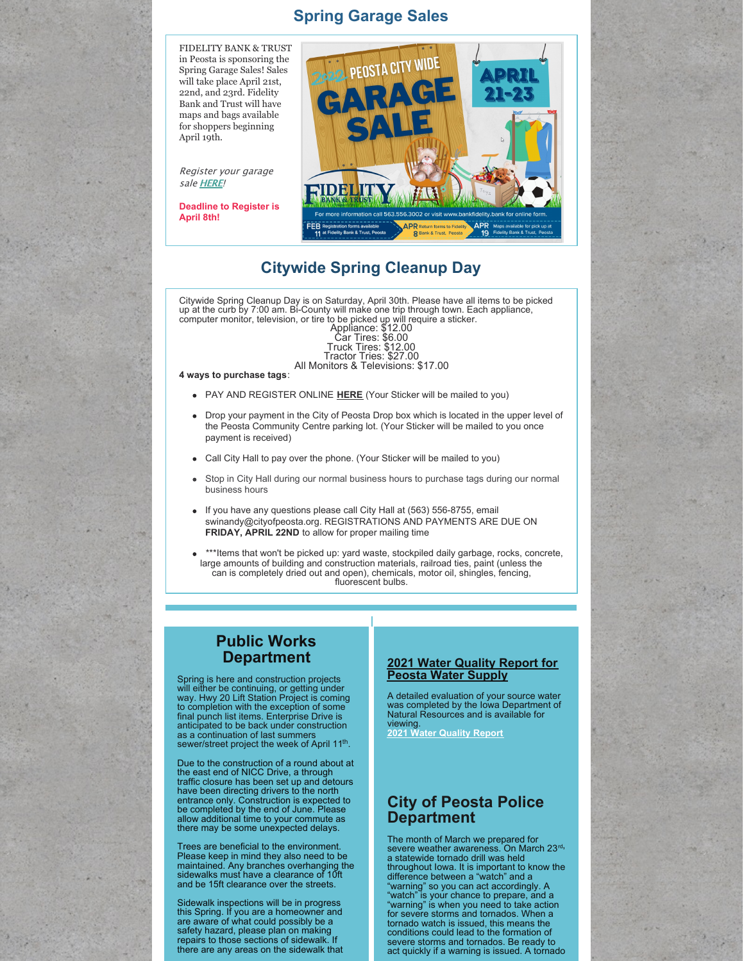## **Spring Garage Sales**



Register your garage sale [HERE](https://www.bankfidelity.bank/media-events/whats-new/peosta-city-wide-garage-sales)!

**Deadline to Register is April 8th!**



## **Citywide Spring Cleanup Day**

Citywide Spring Cleanup Day is on Saturday, April 30th. Please have all items to be picked up at the curb by 7:00 am. Bi-County will make one trip through town. Each appliance, computer monitor, television, or tire to be picked up will require a sticker.

Appliance: \$12.00 Car Tires: \$6.00 Truck Tires: \$12.00 Tractor Tries: \$27.00 All Monitors & Televisions: \$17.00

#### **4 ways to purchase tags**:

- PAY AND REGISTER ONLINE **[HERE](https://www.cityofpeosta.org/contact/city-wide-large-item-pickup)** (Your Sticker will be mailed to you)
- Drop your payment in the City of Peosta Drop box which is located in the upper level of the Peosta Community Centre parking lot. (Your Sticker will be mailed to you once payment is received)
- Call City Hall to pay over the phone. (Your Sticker will be mailed to you)
- Stop in City Hall during our normal business hours to purchase tags during our normal business hours
- If you have any questions please call City Hall at (563) 556-8755, email swinandy@cityofpeosta.org. REGISTRATIONS AND PAYMENTS ARE DUE ON **FRIDAY, APRIL 22ND** to allow for proper mailing time
- \*\*\*Items that won't be picked up: yard waste, stockpiled daily garbage, rocks, concrete, large amounts of building and construction materials, railroad ties, paint (unless the can is completely dried out and open), chemicals, motor oil, shingles, fencing, fluorescent bulbs.

## **Public Works Department**

Spring is here and construction projects will either be continuing, or getting under way. Hwy 20 Lift Station Project is coming to completion with the exception of some final punch list items. Enterprise Drive is anticipated to be back under construction as a continuation of last summers sewer/street project the week of April 11<sup>th</sup>.

Due to the construction of a round about at the east end of NICC Drive, a through traffic closure has been set up and detours have been directing drivers to the north entrance only. Construction is expected to be completed by the end of June. Please allow additional time to your commute as there may be some unexpected delays.

Trees are beneficial to the environment. Please keep in mind they also need to be maintained. Any branches overhanging the sidewalks must have a clearance of 10ft and be 15ft clearance over the streets.

Sidewalk inspections will be in progress this Spring. If you are a homeowner and are aware of what could possibly be a safety hazard, please plan on making repairs to those sections of sidewalk. If there are any areas on the sidewalk that

### **2021 Water Quality Report for Peosta Water Supply**

A detailed evaluation of your source water was completed by the Iowa Department of Natural Resources and is available for viewing. **2021 Water [Quality](https://www.cityofpeosta.org/images/departments/Water_Quality_Report_2021.pdf) Report**

## **City of Peosta Police Department**

The month of March we prepared for severe weather awareness. On March 23<sup>rd,</sup> a statewide tornado drill was held throughout Iowa. It is important to know the difference between a "watch" and a "warning" so you can act accordingly. A "watch" is your chance to prepare, and a "warning" is when you need to take action for severe storms and tornados. When a tornado watch is issued, this means the conditions could lead to the formation of severe storms and tornados. Be ready to act quickly if a warning is issued. A tornado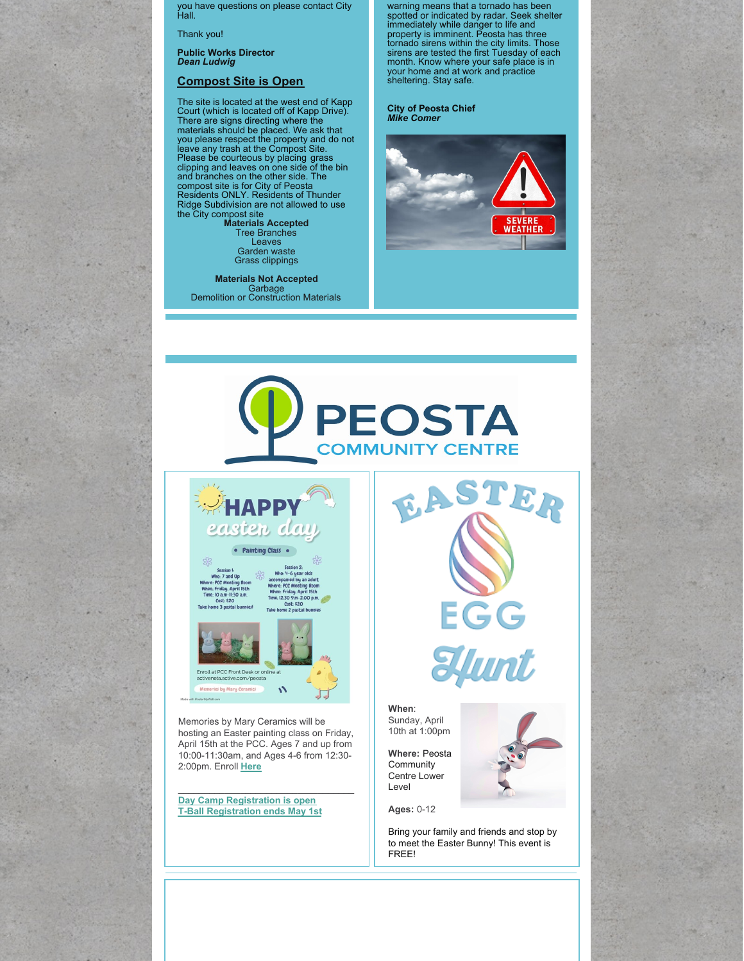you have questions on please contact City Hall.

Thank you!

**Public Works Director** *Dean Ludwig*

#### **Compost Site is Open**

The site is located at the west end of Kapp<br>Court (which is located off of Kapp Drive).<br>There are signs directing where the<br>materials should be placed. We ask that you please respect the property and do not leave any trash at the Compost Site. Please be courteous by placing grass clipping and leaves on one side of the bin and branches on the other side. The compost site is for City of Peosta Residents ONLY. Residents of Thunder Ridge Subdivision are not allowed to use the City compost site **Materials Accepted**

Tree Branches Leaves Garden waste Grass clippings

**Materials Not Accepted** Garbage Demolition or Construction Materials warning means that a tornado has been spotted or indicated by radar. Seek shelter immediately while danger to life and<br>property is imminent. Peosta has three<br>tornado sirens within the city limits. Those<br>sirens are tested the first Tuesday of each<br>month. Know where your safe place is in<br>your home and at

#### **City of Peosta Chief** *Mike Comer*







 $11.30$  a m

Session 2:<br>
Who: 4-6 year olds<br>
accompanied by an adult<br>
Where: PCC Meeting Room<br>
When: Friday, April 15th<br>
Time: 12:30 9.m-2:00 p.m. Cost: \$20 2 pastal bu



Memories by Mary Ceramics will be hosting an Easter painting class on Friday, April 15th at the PCC. Ages 7 and up from 10:00-11:30am, and Ages 4-6 from 12:30- 2:00pm. Enroll **[Here](https://apm.activecommunities.com/peosta/Activity_Search?fbclid=IwAR2c40SCh5XpFHAe5Api-p8WKgh2d_UiXxMkR37SEsFUfiWRErbdBMZfjJY)**

\_\_\_\_\_\_\_\_\_\_\_\_\_\_\_\_\_\_\_\_\_\_\_\_\_\_\_\_\_\_\_\_\_\_

**Day Camp [Registration](https://www.cityofpeosta.org/uploads/community-centre/2022_day_camp_registration.pdf) is open T-Ball [Registration](https://www.cityofpeosta.org/uploads/community-centre/2022_Tball_Registration_Form.pdf) ends May 1st** EASTER **EGG<br>Elunt** 

**When**: Sunday, April 10th at 1:00pm

**Where:** Peosta **Community** Centre Lower Level

**Ages:** 0-12

Bring your family and friends and stop by to meet the Easter Bunny! This event is FREE!